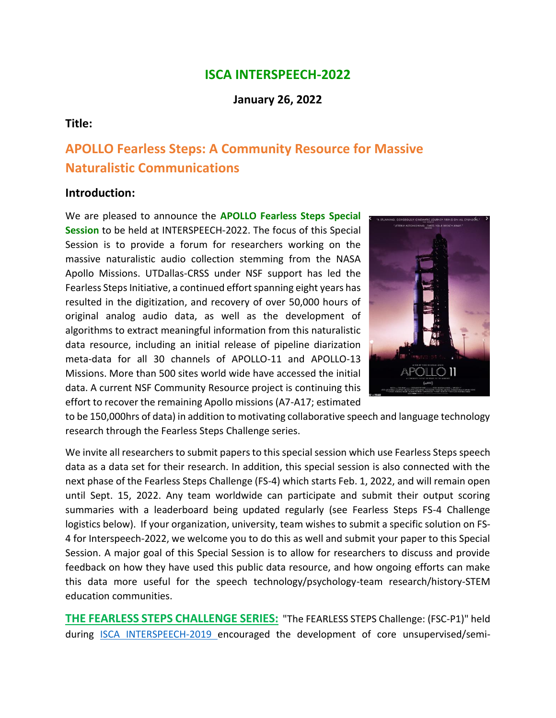## **ISCA INTERSPEECH-2022**

**January 26, 2022**

#### **Title:**

# **APOLLO Fearless Steps: A Community Resource for Massive Naturalistic Communications**

#### **Introduction:**

We are pleased to announce the **APOLLO Fearless Steps Special Session** to be held at INTERSPEECH-2022. The focus of this Special Session is to provide a forum for researchers working on the massive naturalistic audio collection stemming from the NASA Apollo Missions. UTDallas-CRSS under NSF support has led the Fearless Steps Initiative, a continued effort spanning eight years has resulted in the digitization, and recovery of over 50,000 hours of original analog audio data, as well as the development of algorithms to extract meaningful information from this naturalistic data resource, including an initial release of pipeline diarization meta-data for all 30 channels of APOLLO-11 and APOLLO-13 Missions. More than 500 sites world wide have accessed the initial data. A current NSF Community Resource project is continuing this effort to recover the remaining Apollo missions (A7-A17; estimated



to be 150,000hrs of data) in addition to motivating collaborative speech and language technology research through the Fearless Steps Challenge series.

We invite all researchers to submit papers to this special session which use Fearless Steps speech data as a data set for their research. In addition, this special session is also connected with the next phase of the Fearless Steps Challenge (FS-4) which starts Feb. 1, 2022, and will remain open until Sept. 15, 2022. Any team worldwide can participate and submit their output scoring summaries with a leaderboard being updated regularly (see Fearless Steps FS-4 Challenge logistics below). If your organization, university, team wishes to submit a specific solution on FS-4 for Interspeech-2022, we welcome you to do this as well and submit your paper to this Special Session. A major goal of this Special Session is to allow for researchers to discuss and provide feedback on how they have used this public data resource, and how ongoing efforts can make this data more useful for the speech technology/psychology-team research/history-STEM education communities.

**THE FEARLESS STEPS CHALLENGE SERIES:** "The FEARLESS STEPS Challenge: (FSC-P1)" held during [ISCA INTERSPEECH-2019](https://www.interspeech2019.org/posts/one-giant-leap-for-mankind/) encouraged the development of core unsupervised/semi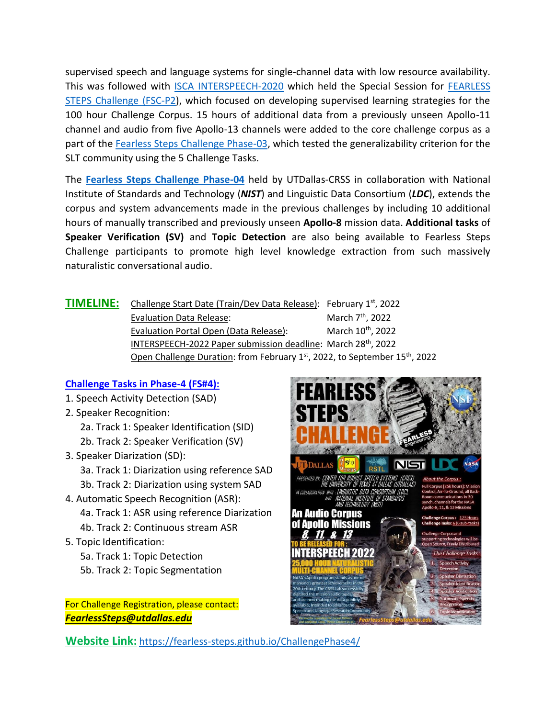supervised speech and language systems for single-channel data with low resource availability. This was followed with [ISCA INTERSPEECH-2020](http://www.interspeech2020.org/index.php?m=content&c=index&a=lists&catid=322) which held the Special Session for [FEARLESS](http://www.interspeech2020.org/index.php?m=content&c=index&a=show&catid=322&id=843)  [STEPS Challenge \(FSC-P2\)](http://www.interspeech2020.org/index.php?m=content&c=index&a=show&catid=322&id=843), which focused on developing supervised learning strategies for the 100 hour Challenge Corpus. 15 hours of additional data from a previously unseen Apollo-11 channel and audio from five Apollo-13 channels were added to the core challenge corpus as a part of the [Fearless Steps Challenge Phase-03,](https://fearless-steps.github.io/ChallengePhase3/) which tested the generalizability criterion for the SLT community using the 5 Challenge Tasks.

The **[Fearless Steps Challenge Phase-04](https://sat.nist.gov/fsc3)** held by UTDallas-CRSS in collaboration with National Institute of Standards and Technology (*NIST*) and Linguistic Data Consortium (*LDC*), extends the corpus and system advancements made in the previous challenges by including 10 additional hours of manually transcribed and previously unseen **Apollo-8** mission data. **Additional tasks** of **Speaker Verification (SV)** and **Topic Detection** are also being available to Fearless Steps Challenge participants to promote high level knowledge extraction from such massively naturalistic conversational audio.

| Open Challenge Duration: from February 1st, 2022, to September 15 <sup>th</sup> , 2022 |
|----------------------------------------------------------------------------------------|
|                                                                                        |

#### **Challenge Tasks in Phase-4 (FS#4):**

- 1. Speech Activity Detection (SAD)
- 2. Speaker Recognition:
	- 2a. Track 1: Speaker Identification (SID)
	- 2b. Track 2: Speaker Verification (SV)
- 3. Speaker Diarization (SD): 3a. Track 1: Diarization using reference SAD 3b. Track 2: Diarization using system SAD
- 4. Automatic Speech Recognition (ASR): 4a. Track 1: ASR using reference Diarization 4b. Track 2: Continuous stream ASR
- 5. Topic Identification:
	- 5a. Track 1: Topic Detection 5b. Track 2: Topic Segmentation

For Challenge Registration, please contact: *FearlessSteps@utdallas.edu*



**Website Link:** <https://fearless-steps.github.io/ChallengePhase4/>